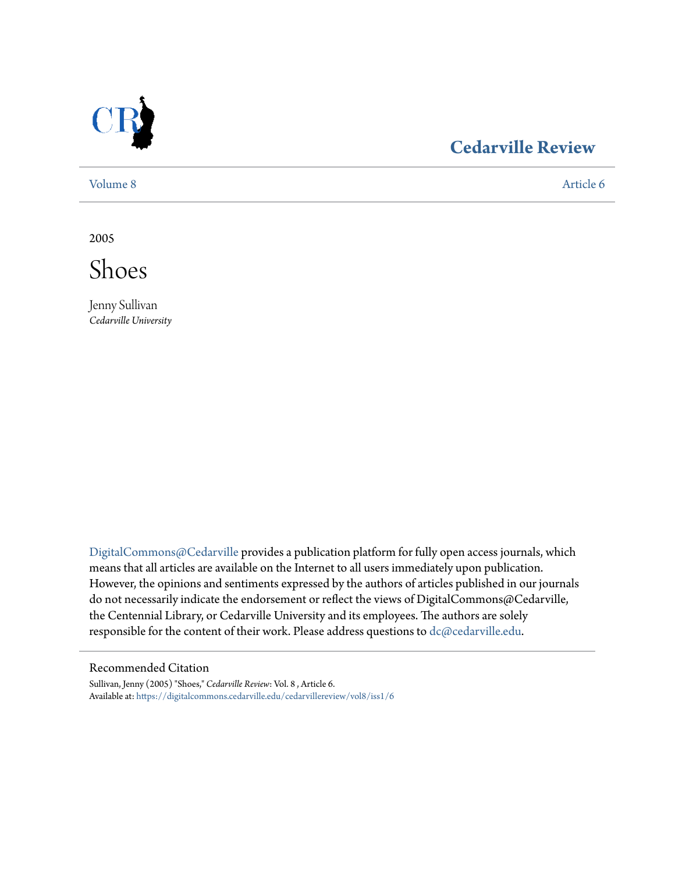

### **[Cedarville Review](https://digitalcommons.cedarville.edu/cedarvillereview?utm_source=digitalcommons.cedarville.edu%2Fcedarvillereview%2Fvol8%2Fiss1%2F6&utm_medium=PDF&utm_campaign=PDFCoverPages)**

[Volume 8](https://digitalcommons.cedarville.edu/cedarvillereview/vol8?utm_source=digitalcommons.cedarville.edu%2Fcedarvillereview%2Fvol8%2Fiss1%2F6&utm_medium=PDF&utm_campaign=PDFCoverPages) [Article 6](https://digitalcommons.cedarville.edu/cedarvillereview/vol8/iss1/6?utm_source=digitalcommons.cedarville.edu%2Fcedarvillereview%2Fvol8%2Fiss1%2F6&utm_medium=PDF&utm_campaign=PDFCoverPages)

2005

Shoes

Jenny Sullivan *Cedarville University*

[DigitalCommons@Cedarville](http://digitalcommons.cedarville.edu) provides a publication platform for fully open access journals, which means that all articles are available on the Internet to all users immediately upon publication. However, the opinions and sentiments expressed by the authors of articles published in our journals do not necessarily indicate the endorsement or reflect the views of DigitalCommons@Cedarville, the Centennial Library, or Cedarville University and its employees. The authors are solely responsible for the content of their work. Please address questions to [dc@cedarville.edu](mailto:dc@cedarville.edu).

#### Recommended Citation

Sullivan, Jenny (2005) "Shoes," *Cedarville Review*: Vol. 8 , Article 6. Available at: [https://digitalcommons.cedarville.edu/cedarvillereview/vol8/iss1/6](https://digitalcommons.cedarville.edu/cedarvillereview/vol8/iss1/6?utm_source=digitalcommons.cedarville.edu%2Fcedarvillereview%2Fvol8%2Fiss1%2F6&utm_medium=PDF&utm_campaign=PDFCoverPages)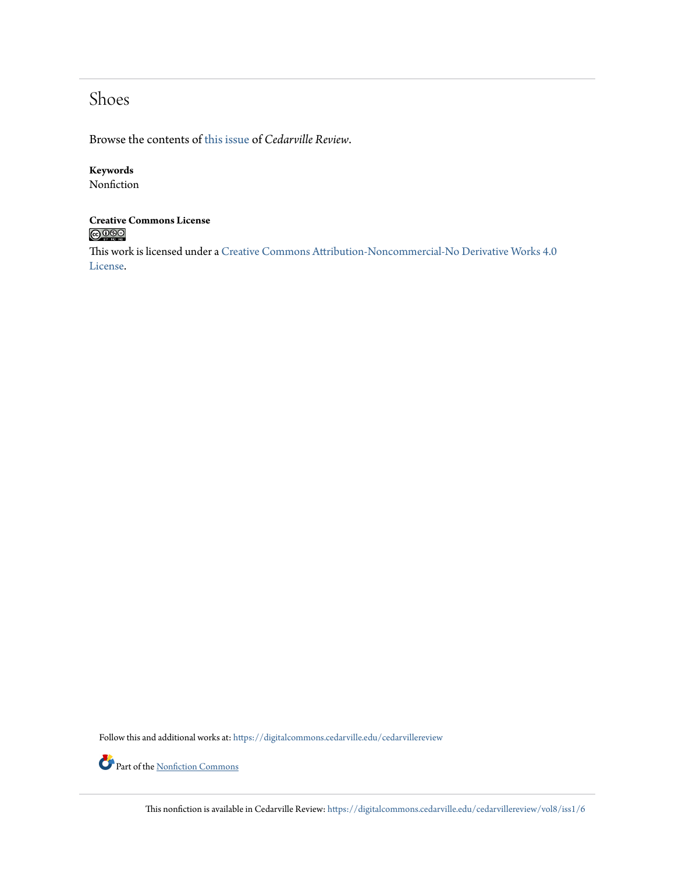## Shoes

Browse the contents of [this issue](https://digitalcommons.cedarville.edu/cedarvillereview/vol8/iss1) of *Cedarville Review*.

### **Keywords**

Nonfiction

## **Creative Commons License**

This work is licensed under a [Creative Commons Attribution-Noncommercial-No Derivative Works 4.0](http://creativecommons.org/licenses/by-nc-nd/4.0/) [License.](http://creativecommons.org/licenses/by-nc-nd/4.0/)

Follow this and additional works at: [https://digitalcommons.cedarville.edu/cedarvillereview](https://digitalcommons.cedarville.edu/cedarvillereview?utm_source=digitalcommons.cedarville.edu%2Fcedarvillereview%2Fvol8%2Fiss1%2F6&utm_medium=PDF&utm_campaign=PDFCoverPages)

Part of the <u>[Nonfiction Commons](http://network.bepress.com/hgg/discipline/1152?utm_source=digitalcommons.cedarville.edu%2Fcedarvillereview%2Fvol8%2Fiss1%2F6&utm_medium=PDF&utm_campaign=PDFCoverPages)</u>

This nonfiction is available in Cedarville Review: [https://digitalcommons.cedarville.edu/cedarvillereview/vol8/iss1/6](https://digitalcommons.cedarville.edu/cedarvillereview/vol8/iss1/6?utm_source=digitalcommons.cedarville.edu%2Fcedarvillereview%2Fvol8%2Fiss1%2F6&utm_medium=PDF&utm_campaign=PDFCoverPages)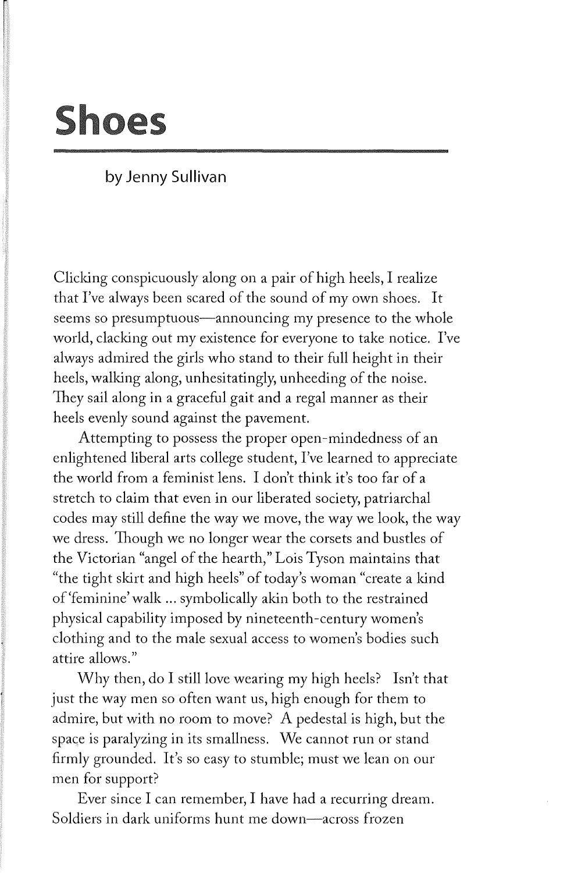# **Shoes**

### **by Jenny Sullivan**

Clicking conspicuously along on a pair of high heels, I realize that I've always been scared of the sound of my own shoes. It seems so presumptuous—announcing my presence to the whole world, clacking out my existence for everyone to take notice. I've always admired the girls who stand to their full height in their heels, walking along, unhesitatingly, unheeding of the noise. They sail along in a graceful gait and a regal manner as their heels evenly sound against the pavement.

Attempting to possess the proper open-mindedness of an enlightened liberal arts college student, I've learned to appreciate the world from a feminist lens. I don't think it's too far of a stretch to claim that even in our liberated society, patriarchal codes may still define the way we move, the way we look, the way we dress. Though we no longer wear the corsets and bustles of the Victorian "angel of the hearth," Lois Tyson maintains that "the tight skirt and high heels" of today's woman "create a kind of'feminine' walk ... symbolically akin both to the restrained physical capability imposed by nineteenth-century women's clothing and to the male sexual access to women's bodies such attire allows."

Why then, do I still love wearing my high heels? Isn't that just the way men so often want us, high enough for them to admire, but with no room to move? A pedestal is high, but the space is paralyzing in its smallness. We cannot run or stand firmly grounded. It's so easy to stumble; must we lean on our men for support?

Ever since I can remember, I have had a recurring dream. Soldiers in dark uniforms hunt me down-across frozen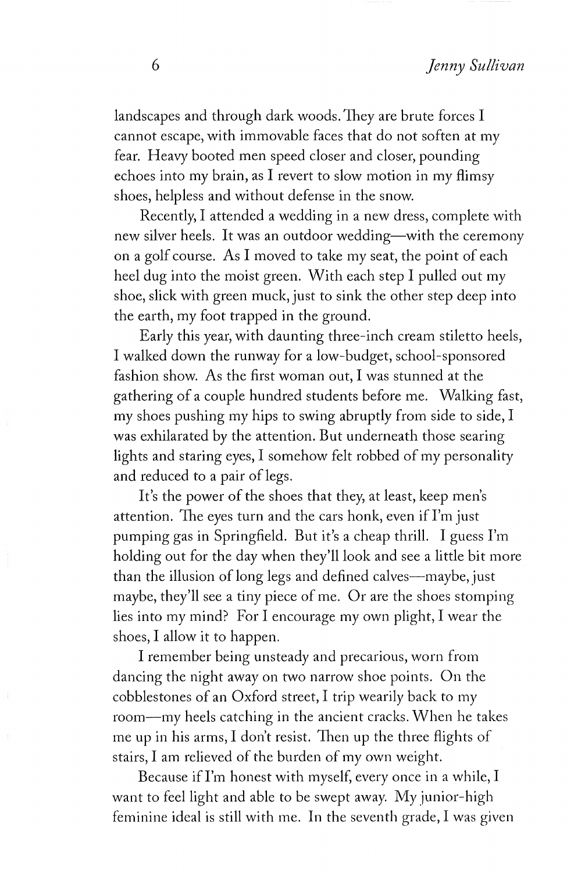landscapes and through dark woods. They are brute forces I cannot escape, with immovable faces that do not soften at my fear. Heavy booted men speed closer and closer, pounding echoes into my brain, as I revert to slow motion in my flimsy shoes, helpless and without defense in the snow.

Recently, I attended a wedding in a new dress, complete with new silver heels. It was an outdoor wedding-with the ceremony on a golf course. As I moved to take my seat, the point of each heel dug into the moist green. With each step I pulled out my shoe, slick with green muck, just to sink the other step deep into the earth, my foot trapped in the ground.

Early this year, with daunting three-inch cream stiletto heels, I walked down the runway for a low-budget, school-sponsored fashion show. As the first woman out, I was stunned at the gathering of a couple hundred students before me. Walking fast, my shoes pushing my hips to swing abruptly from side to side, I was exhilarated by the attention. But underneath those searing lights and staring eyes, I somehow felt robbed of my personality and reduced to a pair of legs.

It's the power of the shoes that they, at least, keep men's attention. The eyes turn and the cars honk, even if I'm just pumping gas in Springfield. But it's a cheap thrill. I guess I'm holding out for the day when they'll look and see a little bit more than the illusion of long legs and defined calves-maybe, just maybe, they'll see a tiny piece of me. Or are the shoes stomping lies into my mind? For I encourage my own plight, I wear the shoes, I allow it to happen.

I remember being unsteady and precarious, worn from dancing the night away on two narrow shoe points. On the cobblestones of an Oxford street, I trip wearily back to my room-my heels catching in the ancient cracks. When he takes me up in his arms, I don't resist. Then up the three flights of stairs, I am relieved of the burden of my own weight.

Because if I'm honest with myself, every once in a while, I want to feel light and able to be swept away. My junior-high feminine ideal is still with me. In the seventh grade, I was given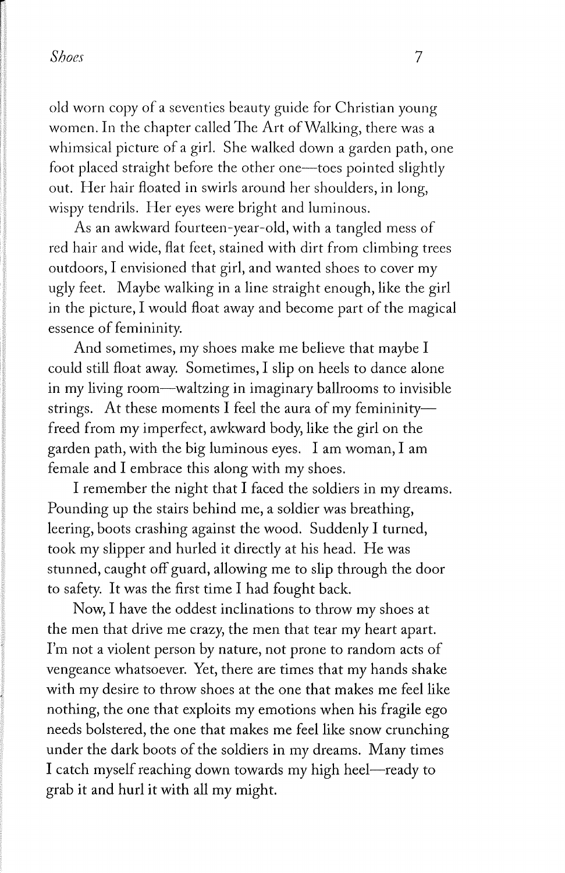### *Shoes* 7

old worn copy of a seventies beauty guide for Christian young women. In the chapter called The Art of Walking, there was a whimsical picture of a girl. She walked down a garden path, one foot placed straight before the other one-toes pointed slightly out. Her hair floated in swirls around her shoulders, in long, wispy tendrils. Her eyes were bright and luminous.

As an awkward fourteen-year-old, with a tangled mess of red hair and wide, flat feet, stained with dirt from climbing trees outdoors, I envisioned that girl, and wanted shoes to cover my ugly feet. Maybe walking in a line straight enough, like the girl in the picture, I would float away and become part of the magical essence of femininity.

And sometimes, my shoes make me believe that maybe I could still float away. Sometimes, I slip on heels to dance alone in my living room-waltzing in imaginary ballrooms to invisible strings. At these moments I feel the aura of my femininityfreed from my imperfect, awkward body, like the girl on the garden path, with the big luminous eyes. I am woman, I am female and I embrace this along with my shoes.

I remember the night that I faced the soldiers in my dreams. Pounding up the stairs behind me, a soldier was breathing, leering, boots crashing against the wood. Suddenly I turned, took my slipper and hurled it directly at his head. He was stunned, caught off guard, allowing me to slip through the door to safety. It was the first time I had fought back.

Now, I have the oddest inclinations to throw my shoes at the men that drive me crazy, the men that tear my heart apart. I'm not a violent person by nature, not prone to random acts of vengeance whatsoever. Yet, there are times that my hands shake with my desire to throw shoes at the one that makes me feel like nothing, the one that exploits my emotions when his fragile ego needs bolstered, the one that makes me feel like snow crunching under the dark boots of the soldiers in my dreams. Many times I catch myself reaching down towards my high heel-ready to grab it and **hurl** it with all my might.